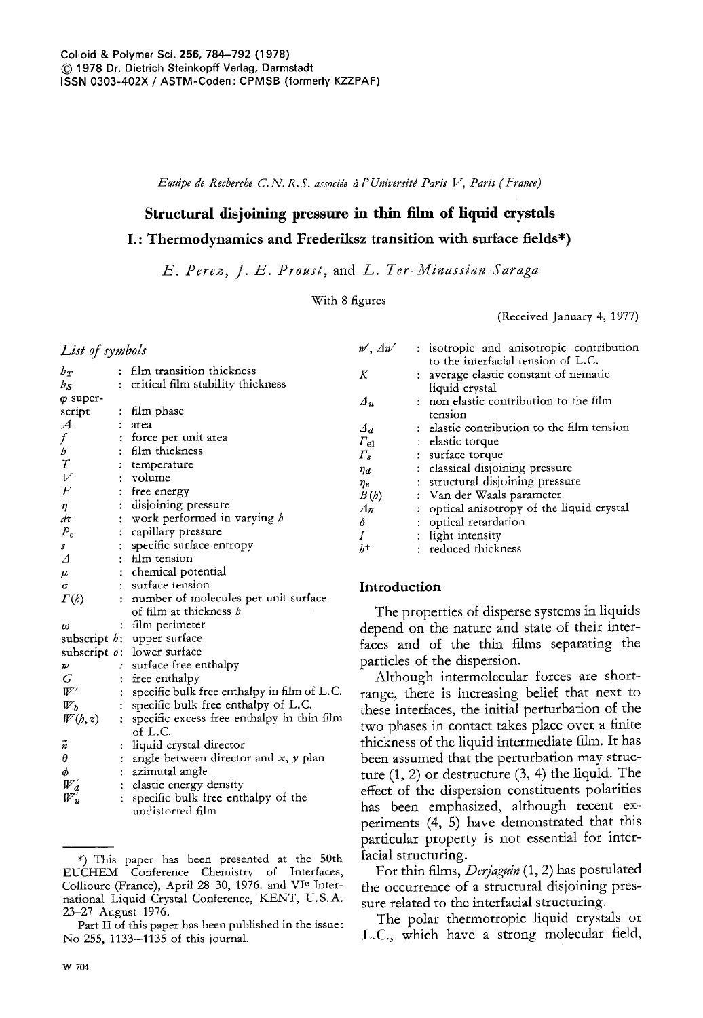*Equipe de Recherche C. N. R.S. associ& a l' Universitd Paris V, Paris (France)* 

# **Structural disjoining pressure in thin film of liquid crystals**

# **I. : Thermodynamics and Frederiksz transition with surface** fields\*)

*E. Perez, J. E. Proust,* and *L. Ter-Minassian-Saraga* 

With 8 figures

(Received January 4, 1977)

## *List of symbols*

| $h_T$                                               | ÷                           | film transition thickness                   |
|-----------------------------------------------------|-----------------------------|---------------------------------------------|
| $h_S$                                               | ÷                           | critical film stability thickness           |
| o super-                                            |                             |                                             |
| script                                              |                             | : film phase                                |
| $\mathcal A$                                        |                             | area                                        |
| f                                                   |                             | : force per unit area                       |
|                                                     |                             | : film thickness                            |
| b<br>T<br>V<br>F                                    |                             | temperature                                 |
|                                                     | ŧ.                          | volume                                      |
|                                                     |                             | free energy                                 |
| $\eta$                                              |                             | : disjoining pressure                       |
| dτ                                                  |                             | : work performed in varying b               |
| $P_{c}$                                             |                             | : capillary pressure                        |
| s                                                   |                             | : specific surface entropy                  |
| Λ                                                   |                             | : film tension                              |
| $\mu$                                               |                             | : chemical potential                        |
| σ                                                   |                             | : surface tension                           |
| $\Gamma(b)$                                         |                             | : number of molecules per unit surface      |
|                                                     |                             | of film at thickness b                      |
| $\bar{\omega}$                                      | $\ddot{\phantom{0}}$        | film perimeter                              |
|                                                     |                             | subscript <i>h</i> : upper surface          |
|                                                     |                             | subscript o: lower surface                  |
| $\boldsymbol{\mathcal{W}}$                          |                             | : surface free enthalpy                     |
| G                                                   | $\ddot{\cdot}$              | free enthalpy                               |
| $W^\prime$                                          |                             | specific bulk free enthalpy in film of L.C. |
| $W_b$                                               | $\ddot{\cdot}$              | specific bulk free enthalpy of L.C.         |
| W(b,z)                                              | $\ddot{\cdot}$              | specific excess free enthalpy in thin film  |
|                                                     |                             | of L.C.                                     |
| $\vec{n}$                                           | ÷                           | liquid crystal director                     |
| $\theta$                                            |                             | angle between director and $x$ , $y$ plan   |
|                                                     | $\mathcal{L}^{\mathcal{L}}$ | azimutal angle                              |
|                                                     |                             | : elastic energy density                    |
| $\begin{array}{c}\n\phi \\ W_d \\ W_u\n\end{array}$ | $\ddot{\cdot}$              | specific bulk free enthalpy of the          |
|                                                     |                             | undistorted film                            |

<sup>\*)</sup> This paper has been presented at the 50th EUCHEM Conference Chemistry of Interfaces, Collioure (France), April 28-30, 1976. and Vie International Liquid Crystal Conference, KENT, U.S.A. 23-27 August 1976.

# **Introduction**

The properties of disperse systems in liquids depend on the nature and state of their interfaces and of the thin films separating the particles of the dispersion.

w',  $\Delta w'$  : isotropic and anisotropic contribution to the interfacial tension of L.C.

*Aa* : elastic contribution to the film tension

*An* : optical anisotropy of the liquid crystal

 $K$  : average elastic constant of nematic liquid crystal *Au* : non elastic contribution to the film

tension

 $\delta$  : optical retardation  $I$  : light intensity  $h^*$  : reduced thickness

 $\eta_a$  : classical disjoining pressure  $\eta_s$  : structural disjoining pressure  $B(b)$  : Van der Waals parameter

 $F_{\text{el}}$  : elastic torque *Fs* : surface torque

Although intermolecular forces are shortrange, there is increasing belief that next to these interfaces, the initial perturbation of the two phases in contact takes place over a finite thickness of the liquid intermediate film. It has been assumed that the perturbation may structure (1, 2) or destructure (3, 4) the liquid. The effect of the dispersion constituents polarities has been emphasized, although recent experiments (4, 5) have demonstrated that this particular property is not essential for interfacial structuring.

For thin films, *Derjaguin* (1, 2) has postulated the occurrence of a structural disjoining pressure related to the inteffacial structuring.

The polar thermotropic liquid crystals or L.C., which have a strong molecular field,

Part II of this paper has been published in the issue : No 255, 1133--1135 of this journal.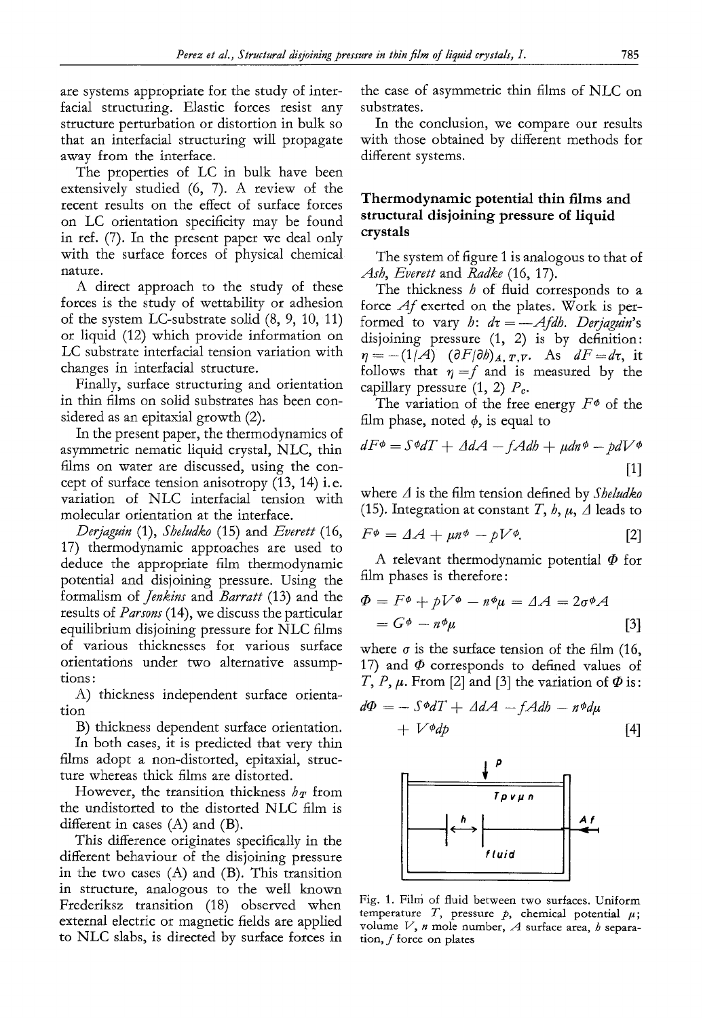are systems appropriate for the study of interfacial structuring. Elastic forces resist any structure perturbation or distortion in bulk so that an interfacial structuring will propagate away from the interface.

The properties of LC in bulk have been extensively studied (6, 7). A review of the recent results on the effect of surface forces on LC orientation specificity may be found in ref. (7). In the present paper we deal only with the surface forces of physical chemical nature.

A direct approach to the study of these forces is the study of wettability or adhesion of the system LC-substrate solid (8, 9, 10, 11) or liquid (12) which provide information on LC substrate interfacial tension variation with changes in interfacial structure.

Finally, surface structuring and orientation in thin films on solid substrates has been considered as an epitaxial growth (2).

In the present paper, the thermodynamics of asymmetric nematic liquid crystal, NLC, thin films on water are discussed, using the concept of surface tension anisotropy (13, 14) i.e. variation of NLC interfacial tension with molecular orientation at the interface.

*Derjaguin* (1), *Sheludko* (15) and *Everett* (16, 17) thermodynamic approaches are used to deduce the appropriate film thermodynamic potential and disjoining pressure. Using the formalism of *Jenkins* and *Barratt* (13) and the results of *Parsons* (14), we discuss the particular equilibrium disjoining pressure for NLC films of various thicknesses for various surface orientations under two alternative assumptions :

A) thickness independent surface orientation

B) thickness dependent surface orientation.

In both cases, it is predicted that very thin films adopt a non-distorted, epitaxial, structure whereas thick films are distorted.

However, the transition thickness  $h_T$  from the undistorted to the distorted NLC film is different in cases (A) and (B).

This difference originates specifically in the different behaviour of the disjoining pressure in the two cases (A) and (B). This transition in structure, analogous to the well known Frederiksz transition (18) observed when external electric or magnetic fields are applied to NLC slabs, is directed by surface forces in

the case of asymmetric thin films of NLC on substrates.

In the conclusion, we compare our results with those obtained by different methods for different systems.

# **Thermodynamic potential thin films and structural disjoining pressure of liquid crystals**

The system of figure 1 is analogous to that of *Ash, Everett* and *Radke* (16, 17).

The thickness  $h$  of fluid corresponds to a force *Af* exerted on the plates. Work is performed to vary *h:*  $d\tau = -A f d h$ . Derjaguin's disjoining pressure (1, 2) is by definition:  $\eta = -(1/A)$   $(\partial F/\partial h)_{A,T,V}$ . As  $dF = dr$ , it follows that  $\eta = f$  and is measured by the capillary pressure  $(1, 2)$   $P_c$ .

The variation of the free energy  $F^{\phi}$  of the film phase, noted  $\phi$ , is equal to

$$
dF\phi = S\phi dT + \Delta dA - fA db + \mu dn \phi - \rho dV \phi
$$
\n[1]

where A is the film tension defined by *Sheludko*  (15). Integration at constant T,  $h, \mu, \Delta$  leads to

$$
F^{\phi} = \Delta A + \mu n^{\phi} - pV^{\phi}.
$$
 [2]

A relevant thermodynamic potential  $\Phi$  for film phases is therefore:

$$
\Phi = F^{\phi} + pV^{\phi} - n^{\phi}\mu = \Delta A = 2\sigma^{\phi}A
$$
  
=  $G^{\phi} - n^{\phi}\mu$  [3]

where  $\sigma$  is the surface tension of the film (16, 17) and  $\Phi$  corresponds to defined values of T, P,  $\mu$ . From [2] and [3] the variation of  $\Phi$  is:

$$
d\Phi = -S\Phi dT + \Delta dA - fA db - n\Phi d\mu + V^{\Phi}dp
$$
 [4]



Fig. 1. Film of fluid between two surfaces. Uniform temperature T, pressure  $p$ , chemical potential  $\mu$ ; volume V, *n* mole number, *A* surface area, *h* separa**tion,** f force on plates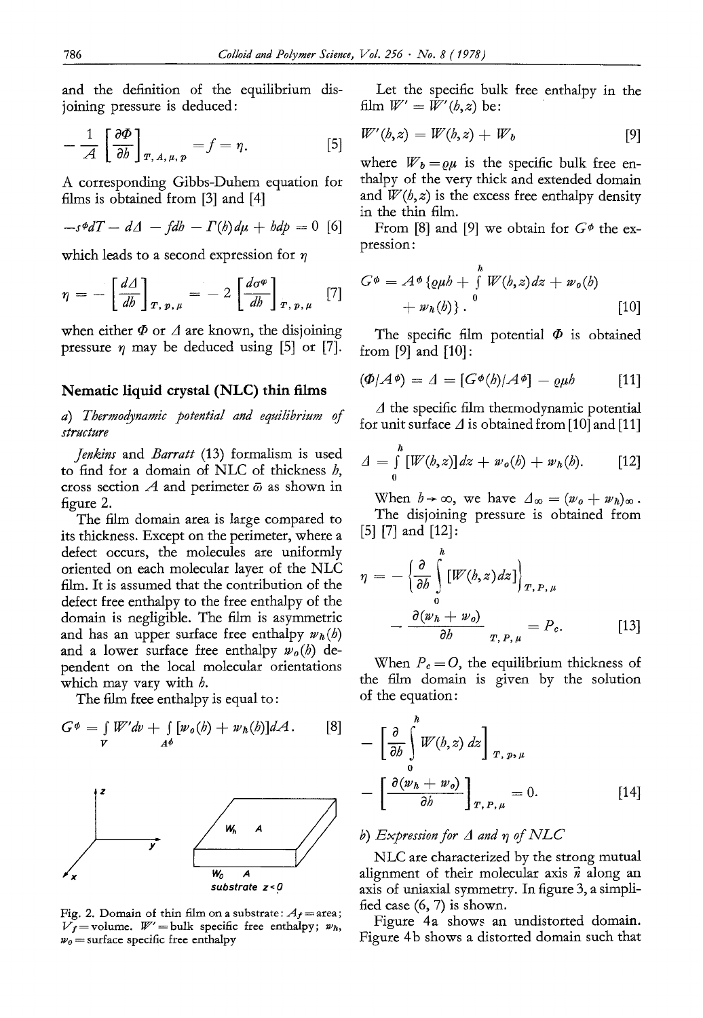and the definition of the equilibrium disjoining pressure is deduced:

$$
-\frac{1}{A}\left[\frac{\partial\Phi}{\partial b}\right]_{T,\,A,\,\mu,\,p}=f=\eta.\tag{5}
$$

A corresponding Gibbs-Duhem equation for films is obtained from [3] and [4]

$$
-s\phi dT - d\Delta - fdb - \Gamma(b)d\mu + bdp = 0
$$
 [6]

which leads to a second expression for  $\eta$ 

$$
\eta = -\left[\frac{d\Delta}{db}\right]_{T,\,p,\,\mu} = -2\left[\frac{d\sigma^{\varphi}}{db}\right]_{T,\,p,\,\mu} \quad [7]
$$

when either  $\Phi$  or  $\Lambda$  are known, the disjoining pressure  $\eta$  may be deduced using [5] or [7].

## Nematic liquid crystal (NLC) thin films

*a) Thermodynamic potential and equilibrium of structure* 

*Jenkins* and *Barratt* (13) formalism is used to find for a domain of NLC of thickness  $h$ , cross section  $A$  and perimeter  $\bar{\omega}$  as shown in figure 2.

The film domain area is large compared to its thickness. Except on the perimeter, where a defect occurs, the molecules are uniformly oriented on each molecular layer of the NLC film. It is assumed that the contribution of the defect free enthalpy to the free enthalpy of the domain is negligible. The film is asymmetric and has an upper surface free enthalpy  $w_h(b)$ and a lower surface free enthalpy *wo(h)* dependent on the local molecular orientations which may vary with *.* 

The film free enthalpy is equal to :

$$
G^{\phi} = \int\limits_{V} W'dv + \int\limits_{A^{\phi}} [w_o(b) + w_h(b)]dA.
$$
 [8]



Fig. 2. Domain of thin film on a substrate:  $A_f$  = area;  $\overline{V}_f$  = volume.  $W'$  = bulk specific free enthalpy;  $w_h$ ,  $w_0$  = surface specific free enthalpy

Let the specific bulk free enthalpy in the film  $W' = W'(b, z)$  be:

$$
W'(b,z) = W(b,z) + W_b \tag{9}
$$

where  $W_b = \rho \mu$  is the specific bulk free enthalpy of the very thick and extended domain and  $W(h, z)$  is the excess free enthalpy density in the thin film.

From [8] and [9] we obtain for  $G\phi$  the expression:

$$
G^{\phi} = A^{\phi} {\lbrace \varrho \mu b + \int_{0}^{h} W(b, z) dz + w_{o}(b) \atop + w_{h}(b) \rbrace .
$$
 [10]

The specific film potential  $\Phi$  is obtained from [9] and [10]:

$$
(\Phi/A^{\phi}) = \Lambda = [G^{\phi}(b)/A^{\phi}] - \varrho\mu b \qquad [11]
$$

 $\Lambda$  the specific film thermodynamic potential for unit surface  $\Delta$  is obtained from [10] and [11]

$$
\Delta = \int_{0}^{h} [W(b, z)] dz + w_o(b) + w_h(b).
$$
 [12]

When  $h \rightarrow \infty$ , we have  $\Delta_{\infty} = (w_o + w_h)_{\infty}$ . The disjoining pressure is obtained from [5] [7] and [12]:

$$
\eta = -\left\{\frac{\partial}{\partial b} \int_{0}^{h} [W(b,z) dz] \right\}_{T,P,\,\mu}
$$

$$
-\frac{\partial (w_h + w_o)}{\partial b} \Big|_{T,P,\,\mu} = P_c. \tag{13}
$$

When  $P_c = O$ , the equilibrium thickness of the film domain is given by the solution of the equation:

$$
- \left[\frac{\partial}{\partial b} \int_{0}^{h} W(h, z) dz \right]_{T, p, \mu}
$$

$$
- \left[\frac{\partial (w_h + w_o)}{\partial b} \right]_{T, P, \mu} = 0.
$$
 [14]

## *b*) *Expression for*  $\Delta$  *and*  $\eta$  *of NLC*

NLC are characterized by the strong mutual alignment of their molecular axis  $\vec{n}$  along an axis of uniaxial symmetry. In figure 3, a simplified case (6, 7) is shown.

Figure 4a shows an undistorted domain. Figure 4b shows a distorted domain such that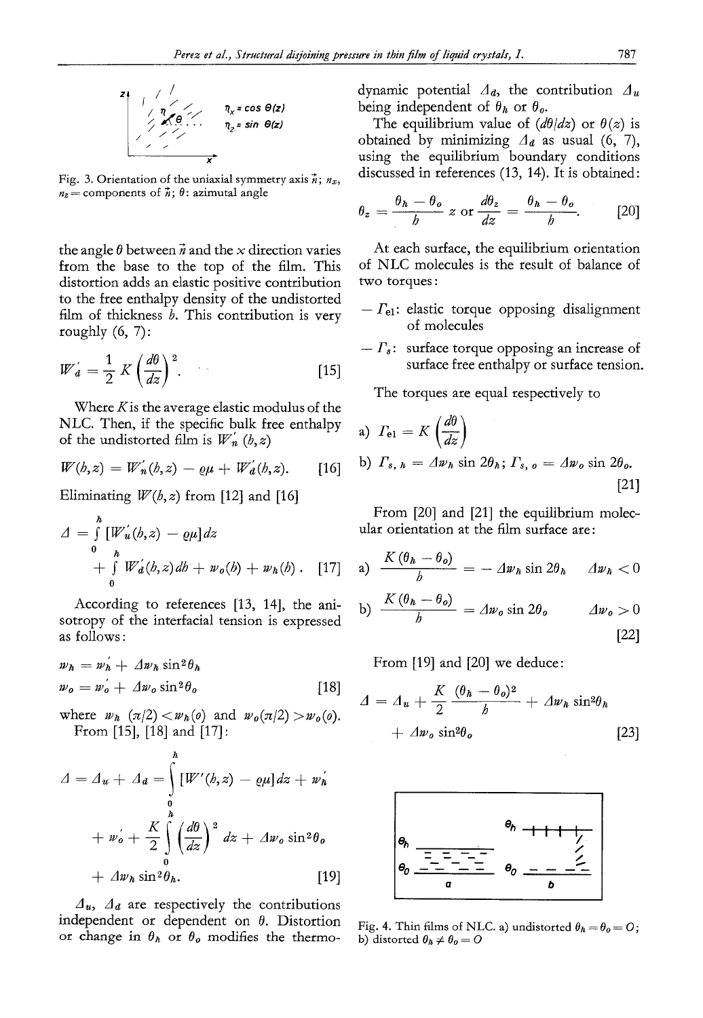

Fig. 3. Orientation of the uniaxial symmetry axis  $\vec{n}$ ;  $n_x$ ,  $n_z$  = components of  $\vec{n}$ ;  $\theta$ : azimutal angle

the angle  $\theta$  between  $\vec{n}$  and the x direction varies from the base to the top of the film. This distortion adds an elastic positive contribution to the free enthalpy density of the undistorted film of thickness  $h$ . This contribution is very roughly  $(6, 7)$ :

$$
W'_d = \frac{1}{2} K \left(\frac{d\theta}{dz}\right)^2.
$$
 [15]

Where  $K$  is the average elastic modulus of the NLC. Then, if the specific bulk free enthalpy of the undistorted film is  $W_n$  (*b*, *z*)

$$
W(h,z) = W'_n(h,z) - \varrho \mu + W'_d(h,z). \qquad [16]
$$

Eliminating  $W(h, z)$  from [12] and [16]

$$
\Delta = \int_{0}^{h} [W'_{u}(b, z) - \varrho \mu] dz \n+ \int_{0}^{h} W'_{d}(b, z) db + w_{0}(b) + w_{h}(b).
$$
 [17]

According to references [13, 14], the anisotropy of the interfacial tension is expressed as follows :

$$
w_h = w_h + \Delta w_h \sin^2 \theta_h
$$
  
\n
$$
w_o = w_o' + \Delta w_o \sin^2 \theta_o
$$
 [18]

where  $w_h (\pi/2) < w_h(o)$  and  $w_o(\pi/2) > w_o(o)$ . From [15], [18] and [17]:

$$
A = \Delta_u + \Delta_d = \int_0^h [W'(b, z) - \varrho \mu] dz + w'_h
$$
  
+  $w'_o + \frac{K}{2} \int_0^h \left(\frac{d\theta}{dz}\right)^2 dz + \Delta w_o \sin^2 \theta_o$   
+  $\Delta w_h \sin^2 \theta_h$ . [19]

 $\Delta$ <sub>*u*</sub>,  $\Delta$ <sub>*d*</sub> are respectively the contributions independent or dependent on  $\theta$ . Distortion or change in  $\theta_h$  or  $\theta_o$  modifies the thermodynamic potential *Aa,* the contribution *Au*  being independent of  $\theta_h$  or  $\theta_o$ .

The equilibrium value of  $(d\theta/dz)$  or  $\theta(z)$  is obtained by minimizing  $A_d$  as usual (6, 7), using the equilibrium boundary conditions discussed in references (13, 14). It is obtained:

$$
\theta_z = \frac{\theta_h - \theta_o}{b} \, z \text{ or } \frac{d\theta_z}{dz} = \frac{\theta_h - \theta_o}{b}.\tag{20}
$$

At each surface, the equilibrium orientation of NLC molecules is the result of balance of two torques :

- $-F_{el}$ : elastic torque opposing disalignment of molecules
- $-F_s$ : surface torque opposing an increase of surface free enthalpy or surface tension.

The torques are equal respectively to

a) 
$$
\Gamma_{\text{el}} = K \left( \frac{d\theta}{dz} \right)
$$
  
b)  $\Gamma_{s, h} = \Delta w_h \sin 2\theta_h; \Gamma_{s, o} = \Delta w_o \sin 2\theta_o.$  [21]

From [20] and [21] the equilibrium molecular orientation at the film surface are:

a) 
$$
\frac{K(\theta_h - \theta_o)}{h} = -\Delta w_h \sin 2\theta_h \quad \Delta w_h < 0
$$
  
b) 
$$
\frac{K(\theta_h - \theta_o)}{h} = \Delta w_o \sin 2\theta_o \qquad \Delta w_o > 0
$$
 [22]

From [19] and [20] we deduce:

$$
\Delta = \Delta_{\boldsymbol{u}} + \frac{K}{2} \frac{(\theta_{\boldsymbol{h}} - \theta_o)^2}{b} + \Delta w_{\boldsymbol{h}} \sin^2 \theta_{\boldsymbol{h}}
$$

$$
+ \Delta w_o \sin^2 \theta_o \tag{23}
$$



Fig. 4. Thin films of NLC. a) undistorted  $\theta_h = \theta_o = O$ ; b) distorted  $\theta_h \neq \theta_o = O$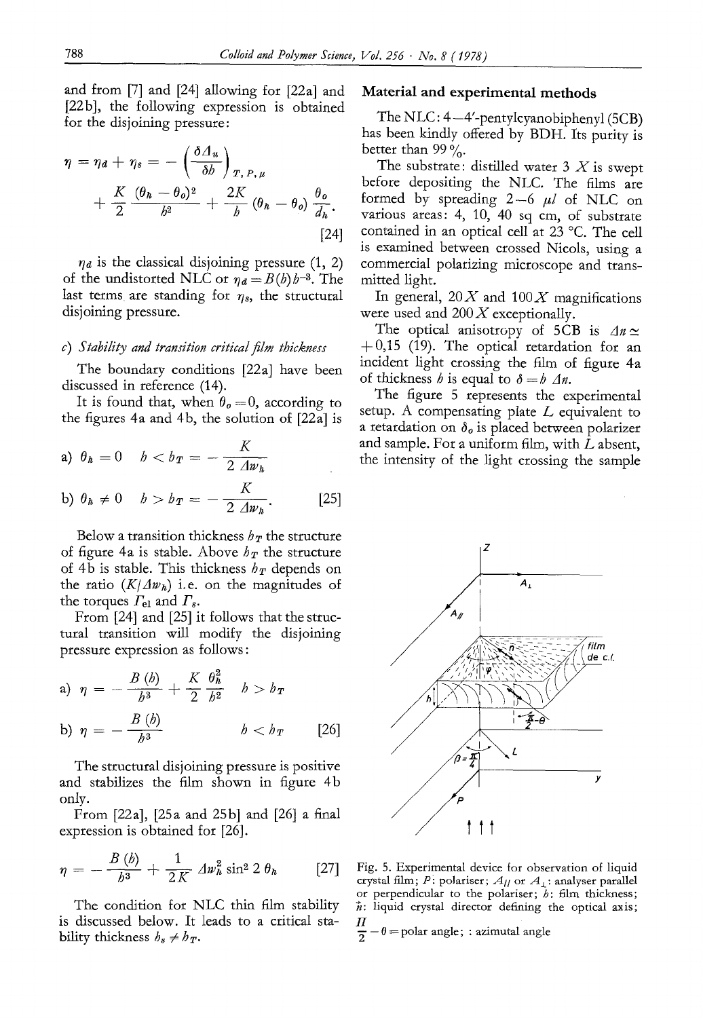and from [7] and [24] allowing for [22a] and [22b], the following expression is obtained for the disjoining pressure:

$$
\eta = \eta_a + \eta_s = -\left(\frac{\delta \varDelta_u}{\delta b}\right)_{T, P, \mu} + \frac{K}{2} \frac{(\theta_h - \theta_o)^2}{b^2} + \frac{2K}{b} (\theta_h - \theta_o) \frac{\theta_o}{d_h}.
$$
\n[24]

 $\eta_a$  is the classical disjoining pressure (1, 2) of the undistorted NLC or  $\eta_d = B(h)h^{-3}$ . The last terms are standing for  $\eta_s$ , the structural disjoining pressure.

## *c) Stability and transition critical film thickness*

The boundary conditions [22a] have been discussed in reference (14).

It is found that, when  $\theta_{\theta} = 0$ , according to the figures 4a and 4b, the solution of [22a] is

a) 
$$
\theta_{h} = 0
$$
  $b < b_{T} = -\frac{K}{2 \Delta w_{h}}$ 

b) 
$$
\theta_h \neq 0
$$
  $h > h_T = -\frac{K}{2 \Delta w_h}$ . [25]

Below a transition thickness  $h_T$  the structure of figure 4a is stable. Above  $h_T$  the structure of 4b is stable. This thickness  $h_T$  depends on the ratio  $(K/\Delta w_h)$  i.e. on the magnitudes of the torques  $\Gamma_{\rm el}$  and  $\Gamma_{\rm s}$ .

From [24] and [25] it follows that the structural transition will modify the disjoining pressure expression as follows:

a) 
$$
\eta = -\frac{B(b)}{b^3} + \frac{K}{2} \frac{\theta_h^2}{b^2} \quad b > b_T
$$
  
b)  $\eta = -\frac{B(b)}{b^3} \quad b < b_T$  [26]

The structural disjoining pressure is positive and stabilizes the film shown in figure 4b only.

From [22a], [25a and 25b] and [26] a final expression is obtained for [26].

$$
\eta = -\frac{B(\phi)}{h^3} + \frac{1}{2K} 2W_h^2 \sin^2 2 \theta_h
$$
 [27]

The condition for NLC thin film stability is discussed below. It leads to a critical stability thickness  $b_s \neq b_T$ .

## **Material and experimental methods**

The NLC:  $4-4'$ -pentylcyanobiphenyl (5CB) has been kindly offered by BDH. Its purity is better than 99 $\%$ .

The substrate: distilled water  $3 X$  is swept before depositing the NLC. The films are formed by spreading  $2-6$   $\mu$  of NLC on various areas: 4, 10, 40 sq cm, of substrate contained in an optical cell at 23 °C. The cell is examined between crossed Nicols, using a commercial polarizing microscope and transmitted light.

In general,  $20X$  and  $100X$  magnifications were used and  $200 X$  exceptionally.

The optical anisotropy of 5CB is  $\Delta n \simeq$  $+0,15$  (19). The optical retardation for an incident light crossing the film of figure 4a of thickness *h* is equal to  $\delta = h \Delta n$ .

The figure 5 represents the experimental setup. A compensating plate  $L$  equivalent to a retardation on  $\delta_{\theta}$  is placed between polarizer and sample. For a uniform film, with L absent, the intensity of the light crossing the sample



Fig. 5. Experimental device for observation of liquid crystal film; P: polariser;  $A_{II}$  or  $A_1$ : analyser parallel or perpendicular to the polariser;  $b$ : film thickness;  $n:$  liquid crystal director defining the optical axis;  $\boldsymbol{\varPi}$ 

 $\frac{27}{2} - \theta =$ polar angle; : azimutal angle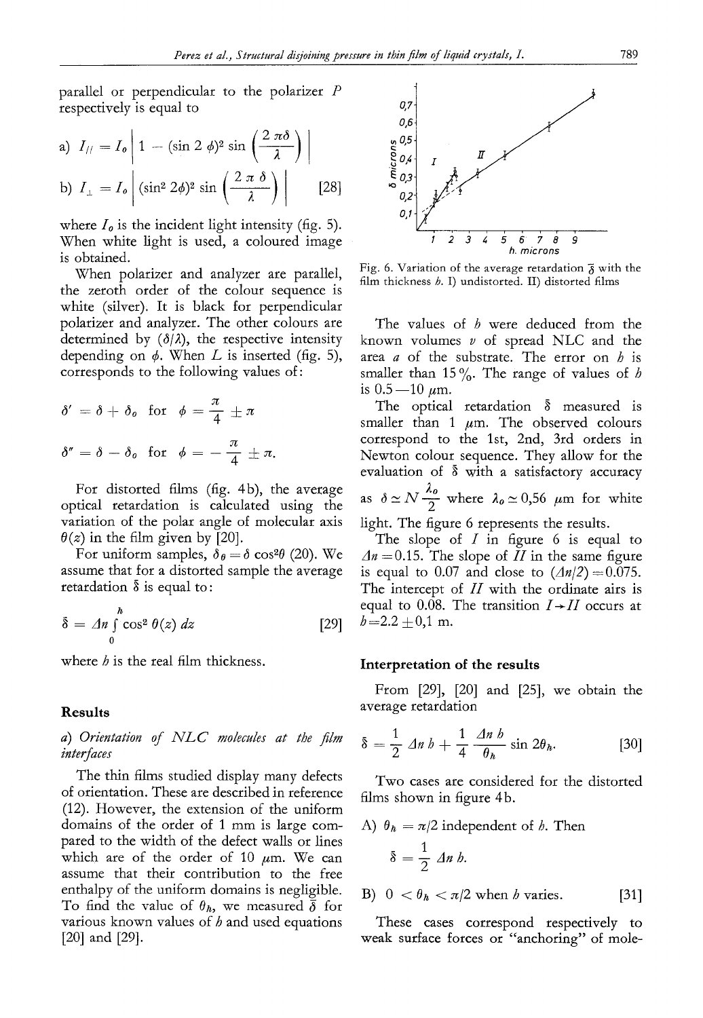parallel or perpendicular to the polarizer P respectively is equal to

a) 
$$
I_{//} = I_o \left| 1 - (\sin 2 \phi)^2 \sin \left( \frac{2 \pi \delta}{\lambda} \right) \right|
$$
  
b)  $I_{\perp} = I_o \left| (\sin^2 2\phi)^2 \sin \left( \frac{2 \pi \delta}{\lambda} \right) \right|$  [28]

where  $I<sub>o</sub>$  is the incident light intensity (fig. 5). When white light is used, a coloured image is obtained.

When polarizer and analyzer are parallel, the zeroth order of the colour sequence is white (silver), It is black for perpendicular polarizer and analyzer. The other colours are determined by  $(\delta/\lambda)$ , the respective intensity depending on  $\phi$ . When L is inserted (fig. 5), corresponds to the following values of:

$$
\delta' = \delta + \delta_o \text{ for } \phi = \frac{\pi}{4} \pm \pi
$$
  

$$
\delta'' = \delta - \delta_o \text{ for } \phi = -\frac{\pi}{4} \pm \pi.
$$

For distorted films (fig. 4b), the average optieal retardation is calculated using the variation of the polar angle of molecular axis  $\theta(z)$  in the film given by [20].

For uniform samples,  $\delta_{\theta} = \delta \cos^2{\theta}$  (20). We assume that for a distorted sample the average retardation  $\delta$  is equal to:

$$
\delta = \Delta n \int_{0}^{h} \cos^{2} \theta(z) dz
$$
 [29]

where  *is the real film thickness.* 

## **Results**

*a) Orientation of NLC mo/ecu/es at the film interfaces* 

The thin films studied display many defects of orientation. These are described in reference (12). However, the extension of the uniform domains of the order of 1 mm is large compared to the width of the defect walls or lines which are of the order of 10  $\mu$ m. We can assume that their contribution to the free enthalpy of the uniform domains is negligible. To find the value of  $\theta_h$ , we measured  $\bar{\delta}$  for various known values of  *and used equations* [20] and [29].



Fig. 6. Variation of the average retardation  $\bar{\delta}$  with the film thickness  $h$ . I) undistorted. II) distorted films

The values of  $b$  were deduced from the known volumes  $\nu$  of spread NLC and the area  $a$  of the substrate. The error on  $b$  is smaller than 15%. The range of values of h is  $0.5-10 \mu m$ .

The optical retardation  $\delta$  measured is smaller than 1  $\mu$ m. The observed colours correspond to the 1st, 2nd, 3rd orders in Newton colour sequence. They allow for the evaluation of  $\bar{\delta}$  with a satisfactory accuracy

as  $\delta \simeq N \frac{\lambda_o}{2}$  where  $\lambda_o \simeq 0.56$  µm for white

light. The figure 6 represents the results.

The slope of  $I$  in figure 6 is equal to  $\Delta n = 0.15$ . The slope of *H* in the same figure is equal to 0.07 and close to  $(\Delta n/2) = 0.075$ . The intercept of  $II$  with the ordinate airs is equal to 0.08. The transition  $I \rightarrow II$  occurs at  $b=2.2 \pm 0.1$  m.

#### **Interpretation of the results**

From [29], [20] and [25], we obtain the average retardation

$$
\bar{\delta} = \frac{1}{2} \sin b + \frac{1}{4} \frac{\sin b}{\theta_h} \sin 2\theta_h. \tag{30}
$$

Two cases are considered for the distorted films shown in figure 4b.

A) 
$$
\theta_h = \pi/2
$$
 independent of *b*. Then  

$$
\delta = \frac{1}{2} \Delta n b.
$$

B)  $0 < \theta_h < \pi/2$  when *b* varies. [31]

These cases correspond respectively to weak surface forces or "anchoring" of mole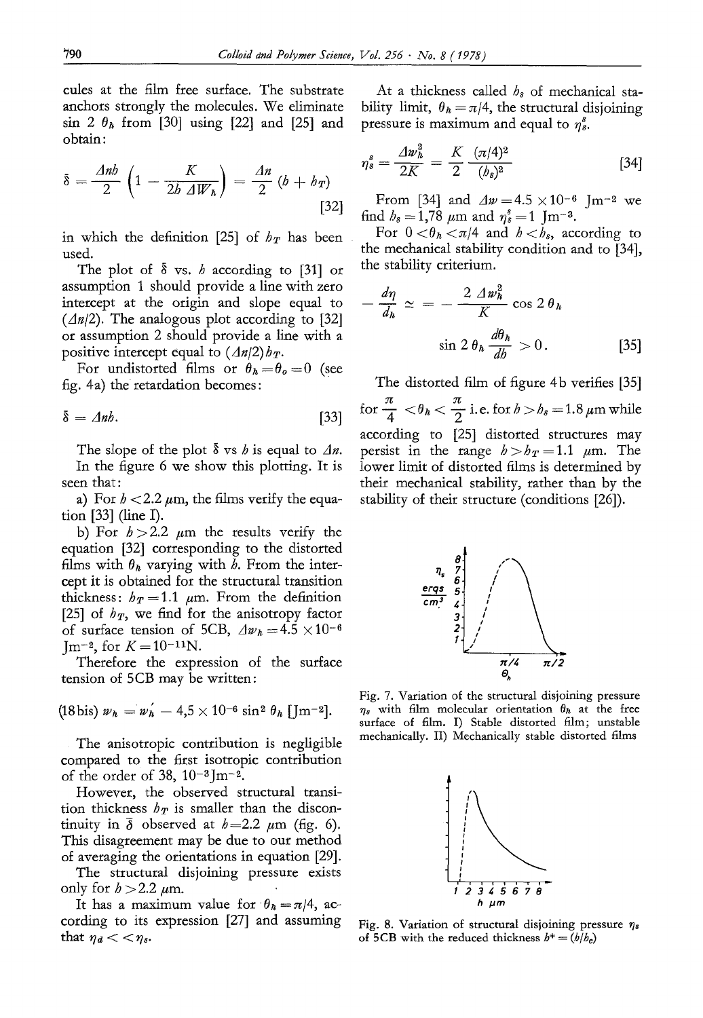cules at the film free surface. The substrate anchors strongly the molecules. We eliminate sin 2  $\theta_h$  from [30] using [22] and [25] and obtain:

$$
\delta = \frac{\Delta nb}{2} \left( 1 - \frac{K}{2b \Delta W_h} \right) = \frac{\Delta n}{2} (b + b_T)
$$
\n[32]

in which the definition [25] of  $h_T$  has been used.

The plot of  $\delta$  vs. h according to [31] or assumption 1 should provide a line with zero intercept at the origin and slope equal to  $(An/2)$ . The analogous plot according to [32] or assumption 2 should provide a line with a positive intercept equal to  $(An/2)$ *h<sub>T</sub>*.

For undistorted films or  $\theta_h = \theta_o = 0$  (see fig. 4a) the retardation becomes:

$$
\delta = \Delta nb. \tag{33}
$$

The slope of the plot  $\delta$  vs h is equal to  $\Delta n$ . In the figure 6 we show this plotting. It is seen that:

a) For  $h < 2.2 \mu m$ , the films verify the equation [33] (line I).

b) For  $b > 2.2$   $\mu$ m the results verify the equation [32] corresponding to the distorted films with  $\theta_h$  varying with *b*. From the intercept it is obtained for the structural transition thickness:  $h_T = 1.1 \mu m$ . From the definition [25] of  $h_T$ , we find for the anisotropy factor of surface tension of 5CB,  $\Delta w_h = 4.5 \times 10^{-6}$ Im<sup>-2</sup>, for  $K = 10^{-11}N$ .

Therefore the expression of the surface tension of 5CB may be written:

$$
(18 \,\mathrm{bis})\, \nu_h = \nu'_h - 4.5 \times 10^{-6} \,\mathrm{sin}^2 \,\theta_h \,[\,\mathrm{J} \mathrm{m}^{-2}].
$$

The anisotropic contribution is negligible compared to the first isotropic contribution of the order of 38,  $10^{-3}$ Jm<sup>-2</sup>.

However, the observed structural transition thickness  $h_T$  is smaller than the discontinuity in  $\bar{\delta}$  observed at  $h=2.2 \mu m$  (fig. 6). This disagreement may be due to our method o£ averaging the orientations in equation [29].

The structural disjoining pressure exists only for  $b > 2.2 \mu$ m.

It has a maximum value for  $\theta_h = \pi/4$ , according to its expression [27] and assuming that  $\eta_d < \eta_s$ .

At a thickness called  $h_s$  of mechanical stability limit,  $\theta_h = \pi/4$ , the structural disjoining pressure is maximum and equal to  $\eta_s^s$ .

$$
\eta_s^s = \frac{\Delta w_h^2}{2K} = \frac{K}{2} \frac{(\pi/4)^2}{(b_s)^2} \tag{34}
$$

From [34] and  $\Delta w = 4.5 \times 10^{-6}$  Jm<sup>-2</sup> we find  $b_s = 1,78 \mu m$  and  $\eta_s^s = 1$  Jm<sup>-3</sup>.

For  $0 < \theta_h < \pi/4$  and  $h < b_s$ , according to the mechanical stability condition and to [34], the stability criterium.

$$
-\frac{d\eta}{d_h} \simeq = -\frac{2 \Delta w_h^2}{K} \cos 2\theta_h
$$

$$
\sin 2\theta_h \frac{d\theta_h}{db} > 0. \tag{35}
$$

The distorted film of figure 4b verifies [35] for  $\frac{\pi}{4} < \theta_h < \frac{\pi}{2}$  i.e. for  $b > b_s = 1.8 \,\mu$ m while according to [25] distorted structures may persist in the range  $h>b_T=1.1$   $\mu$ m. The lower limit of distorted films is determined by their mechanical stability, rather than by the stability of their structure (conditions [26]).



Fig. 7. Variation of the structural disjoining pressure  $\eta_s$  with film molecular orientation  $\theta_h$  at the free surface of film. I) Stable distorted film; unstable mechanically. II) Mechanically stable distorted films



Fig. 8. Variation of structural disjoining pressure  $\eta_s$ of 5CB with the reduced thickness  $b^+ = (b/b_c)$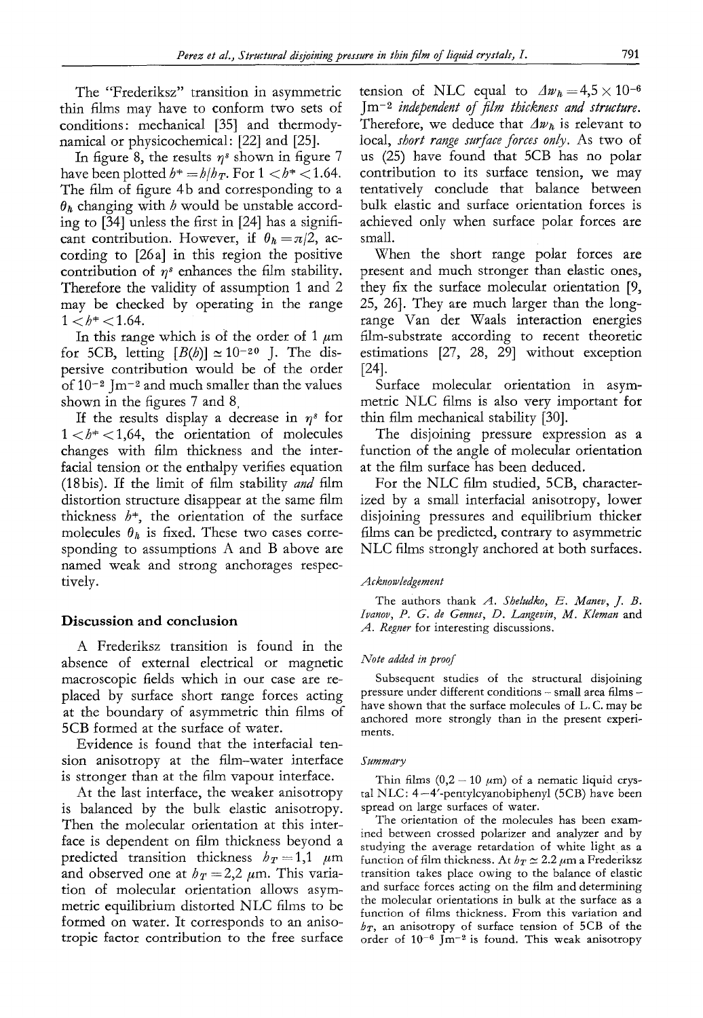The "Frederiksz" transition in asymmetric thin films may have to conform two sets of conditions: mechanical [35] and thermodynamical or physicochemical: [22] and [25].

In figure 8, the results  $\eta^s$  shown in figure 7 have been plotted  $h^* = h/h_T$ . For  $1 < h^* < 1.64$ . The film of figure 4b and corresponding to a  $\theta_h$  changing with h would be unstable according to [34] unless the first in [24] has a significant contribution. However, if  $\theta_h = \pi/2$ , according to [26a] in this region the positive contribution of  $\eta^s$  enhances the film stability. Therefore the validity of assumption 1 and 2 may be checked by operating in the range  $1 < b^* < 1.64$ .

In this range which is of the order of 1  $\mu$ m for 5CB, letting  $[B(b)] \approx 10^{-20}$  J. The dispersive contribution would be of the order of  $10^{-2}$  Jm<sup>-2</sup> and much smaller than the values shown in the figures 7 and 8,

If the results display a decrease in  $\eta^s$  for  $1 < b^* < 1,64$ , the orientation of molecules changes with film thickness and the interfacial tension or the enthalpy verifies equation (18bis). If the limit of film stability *and* film distortion structure disappear at the same film thickness  $b^*$ , the orientation of the surface molecules  $\theta_h$  is fixed. These two cases corresponding to assumptions A and B above are named weak and strong anchorages respectively.

#### **Discussion and conclusion**

A Frederiksz transition is found in the absence of external electrical or magnetic macroscopic fields which in our case are replaced by surface short range forces acting at the boundary of asymmetric thin films of 5CB formed at the surface of water.

Evidence is found that the interfacial tension anisotropy at the film-water interface is stronger than at the film vapour interface.

At the last interface, the weaker anisotropy is balanced by the bulk elastic anisotropy. Then the molecular orientation at this interface is dependent on film thickness beyond a predicted transition thickness  $h_T=1,1$   $\mu$ m and observed one at  $h_T = 2.2 \mu$ m. This variation of molecular orientation allows asymmetric equilibrium distorted NLC films to be formed on water. It corresponds to an anisotropic factor contribution to the free surface tension of NLC equal to  $\Delta w_h = 4.5 \times 10^{-6}$ Jm-2 *independent of film thickness and structure.*  Therefore, we deduce that  $\Delta w_h$  is relevant to local, *short range surface forces only.* As two of us (25) have found that 5CB has no polar contribution to its surface tension, we may tentatively conclude that balance between bulk elastic and surface orientation forces is achieved only when surface polar forces are small.

When the short range polar forces are present and much stronger than elastic ones, they fix the surface molecular orientation [9, 25, 26]. They are much larger than the longrange Van der Waals interaction energies film-substrate according to recent theoretic estimations [27, 28, 29] without exception [24].

Surface molecular orientation in asymmetric NLC films is also very important for thin film mechanical stability [30].

The disjoining pressure expression as a function of the angle of molecular orientation at the film surface has been deduced.

For the NLC film studied, 5CB, characterized by a small interfacial anisotropy, lower disjoining pressures and equilibrium thicker films can be predicted, contrary to asymmetric NLC films strongly anchored at both surfaces.

#### *Acknowledgement*

The authors thank *A. Sheludko, E. Manev, J. B. Ivanov, 19. G. de Gennes, D. Langevin, M. Kleman* and *A. Regner* for interesting discussions.

#### *Note added in proof*

Subsequent studies of the structural disjoining pressure under different conditions - small area films have shown that the surface molecules of L. C. may be anchored more strongly than in the present experiments.

#### $Summary$

Thin films  $(0,2 - 10 \mu m)$  of a nematic liquid crystal NLC: 4--4'-pentylcyanobiphenyl (5CB) have been spread on large surfaces of water.

The orientation of the molecules has been examined between crossed polarizer and analyzer and by studying the average retardation of white light as a function of film thickness. At  $h_T \simeq 2.2~\mu$ m a Frederiksz transition takes place owing to the balance of elastic and surface forces acting on the film and determining the molecular orientations in bulk at the surface as a function of films thickness. From this variation and  $h_T$ , an anisotropy of surface tension of 5CB of the order of  $10^{-6}$  Jm<sup>-2</sup> is found. This weak anisotropy